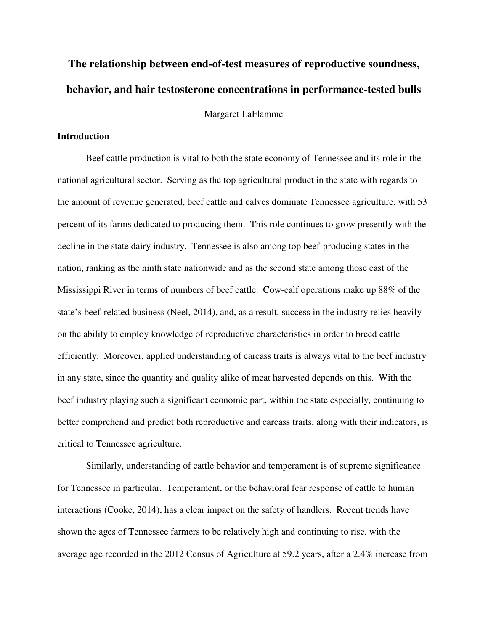# **The relationship between end-of-test measures of reproductive soundness, behavior, and hair testosterone concentrations in performance-tested bulls**

Margaret LaFlamme

# **Introduction**

 Beef cattle production is vital to both the state economy of Tennessee and its role in the national agricultural sector. Serving as the top agricultural product in the state with regards to the amount of revenue generated, beef cattle and calves dominate Tennessee agriculture, with 53 percent of its farms dedicated to producing them. This role continues to grow presently with the decline in the state dairy industry. Tennessee is also among top beef-producing states in the nation, ranking as the ninth state nationwide and as the second state among those east of the Mississippi River in terms of numbers of beef cattle. Cow-calf operations make up 88% of the state's beef-related business (Neel, 2014), and, as a result, success in the industry relies heavily on the ability to employ knowledge of reproductive characteristics in order to breed cattle efficiently. Moreover, applied understanding of carcass traits is always vital to the beef industry in any state, since the quantity and quality alike of meat harvested depends on this. With the beef industry playing such a significant economic part, within the state especially, continuing to better comprehend and predict both reproductive and carcass traits, along with their indicators, is critical to Tennessee agriculture.

 Similarly, understanding of cattle behavior and temperament is of supreme significance for Tennessee in particular. Temperament, or the behavioral fear response of cattle to human interactions (Cooke, 2014), has a clear impact on the safety of handlers. Recent trends have shown the ages of Tennessee farmers to be relatively high and continuing to rise, with the average age recorded in the 2012 Census of Agriculture at 59.2 years, after a 2.4% increase from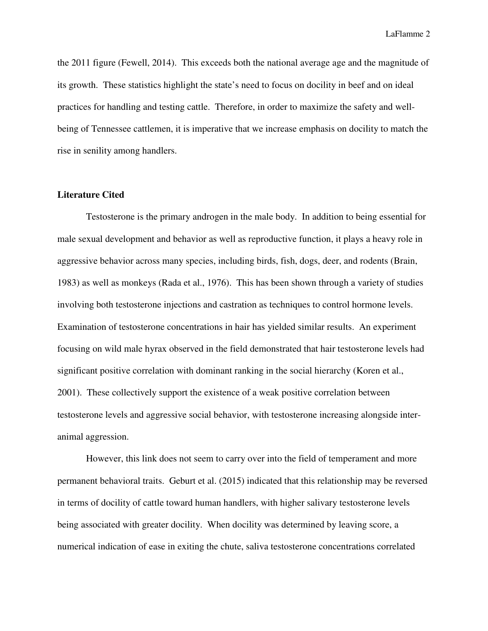the 2011 figure (Fewell, 2014). This exceeds both the national average age and the magnitude of its growth. These statistics highlight the state's need to focus on docility in beef and on ideal practices for handling and testing cattle. Therefore, in order to maximize the safety and wellbeing of Tennessee cattlemen, it is imperative that we increase emphasis on docility to match the rise in senility among handlers.

#### **Literature Cited**

Testosterone is the primary androgen in the male body. In addition to being essential for male sexual development and behavior as well as reproductive function, it plays a heavy role in aggressive behavior across many species, including birds, fish, dogs, deer, and rodents (Brain, 1983) as well as monkeys (Rada et al., 1976). This has been shown through a variety of studies involving both testosterone injections and castration as techniques to control hormone levels. Examination of testosterone concentrations in hair has yielded similar results. An experiment focusing on wild male hyrax observed in the field demonstrated that hair testosterone levels had significant positive correlation with dominant ranking in the social hierarchy (Koren et al., 2001). These collectively support the existence of a weak positive correlation between testosterone levels and aggressive social behavior, with testosterone increasing alongside interanimal aggression.

 However, this link does not seem to carry over into the field of temperament and more permanent behavioral traits. Geburt et al. (2015) indicated that this relationship may be reversed in terms of docility of cattle toward human handlers, with higher salivary testosterone levels being associated with greater docility. When docility was determined by leaving score, a numerical indication of ease in exiting the chute, saliva testosterone concentrations correlated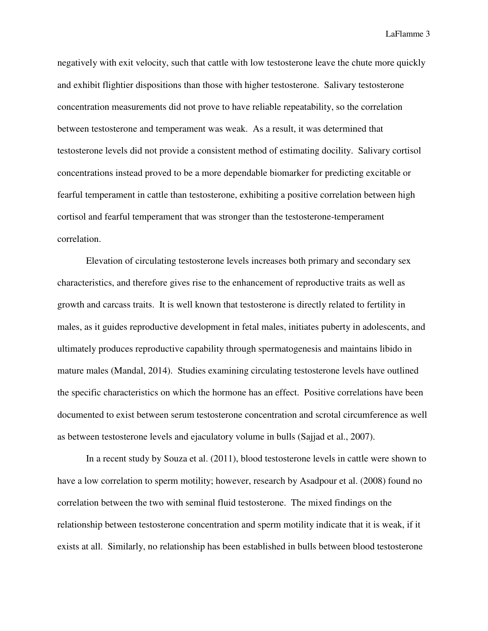negatively with exit velocity, such that cattle with low testosterone leave the chute more quickly and exhibit flightier dispositions than those with higher testosterone. Salivary testosterone concentration measurements did not prove to have reliable repeatability, so the correlation between testosterone and temperament was weak. As a result, it was determined that testosterone levels did not provide a consistent method of estimating docility. Salivary cortisol concentrations instead proved to be a more dependable biomarker for predicting excitable or fearful temperament in cattle than testosterone, exhibiting a positive correlation between high cortisol and fearful temperament that was stronger than the testosterone-temperament correlation.

Elevation of circulating testosterone levels increases both primary and secondary sex characteristics, and therefore gives rise to the enhancement of reproductive traits as well as growth and carcass traits. It is well known that testosterone is directly related to fertility in males, as it guides reproductive development in fetal males, initiates puberty in adolescents, and ultimately produces reproductive capability through spermatogenesis and maintains libido in mature males (Mandal, 2014). Studies examining circulating testosterone levels have outlined the specific characteristics on which the hormone has an effect. Positive correlations have been documented to exist between serum testosterone concentration and scrotal circumference as well as between testosterone levels and ejaculatory volume in bulls (Sajjad et al., 2007).

In a recent study by Souza et al. (2011), blood testosterone levels in cattle were shown to have a low correlation to sperm motility; however, research by Asadpour et al. (2008) found no correlation between the two with seminal fluid testosterone. The mixed findings on the relationship between testosterone concentration and sperm motility indicate that it is weak, if it exists at all. Similarly, no relationship has been established in bulls between blood testosterone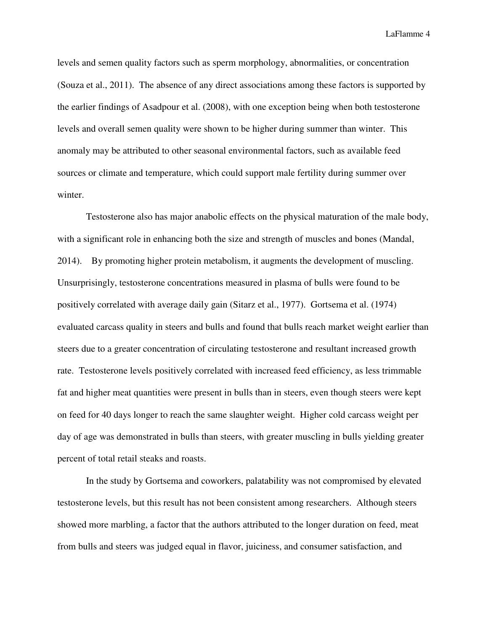levels and semen quality factors such as sperm morphology, abnormalities, or concentration (Souza et al., 2011). The absence of any direct associations among these factors is supported by the earlier findings of Asadpour et al. (2008), with one exception being when both testosterone levels and overall semen quality were shown to be higher during summer than winter. This anomaly may be attributed to other seasonal environmental factors, such as available feed sources or climate and temperature, which could support male fertility during summer over winter.

Testosterone also has major anabolic effects on the physical maturation of the male body, with a significant role in enhancing both the size and strength of muscles and bones (Mandal, 2014). By promoting higher protein metabolism, it augments the development of muscling. Unsurprisingly, testosterone concentrations measured in plasma of bulls were found to be positively correlated with average daily gain (Sitarz et al., 1977). Gortsema et al. (1974) evaluated carcass quality in steers and bulls and found that bulls reach market weight earlier than steers due to a greater concentration of circulating testosterone and resultant increased growth rate. Testosterone levels positively correlated with increased feed efficiency, as less trimmable fat and higher meat quantities were present in bulls than in steers, even though steers were kept on feed for 40 days longer to reach the same slaughter weight. Higher cold carcass weight per day of age was demonstrated in bulls than steers, with greater muscling in bulls yielding greater percent of total retail steaks and roasts.

In the study by Gortsema and coworkers, palatability was not compromised by elevated testosterone levels, but this result has not been consistent among researchers. Although steers showed more marbling, a factor that the authors attributed to the longer duration on feed, meat from bulls and steers was judged equal in flavor, juiciness, and consumer satisfaction, and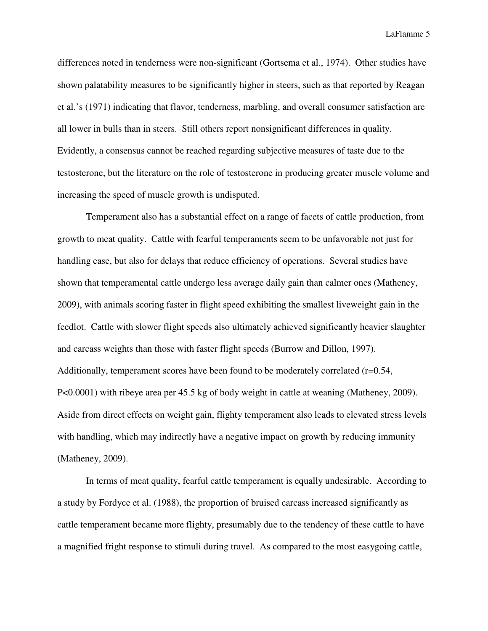differences noted in tenderness were non-significant (Gortsema et al., 1974). Other studies have shown palatability measures to be significantly higher in steers, such as that reported by Reagan et al.'s (1971) indicating that flavor, tenderness, marbling, and overall consumer satisfaction are all lower in bulls than in steers. Still others report nonsignificant differences in quality. Evidently, a consensus cannot be reached regarding subjective measures of taste due to the testosterone, but the literature on the role of testosterone in producing greater muscle volume and increasing the speed of muscle growth is undisputed.

Temperament also has a substantial effect on a range of facets of cattle production, from growth to meat quality. Cattle with fearful temperaments seem to be unfavorable not just for handling ease, but also for delays that reduce efficiency of operations. Several studies have shown that temperamental cattle undergo less average daily gain than calmer ones (Matheney, 2009), with animals scoring faster in flight speed exhibiting the smallest liveweight gain in the feedlot. Cattle with slower flight speeds also ultimately achieved significantly heavier slaughter and carcass weights than those with faster flight speeds (Burrow and Dillon, 1997). Additionally, temperament scores have been found to be moderately correlated (r=0.54, P<0.0001) with ribeye area per 45.5 kg of body weight in cattle at weaning (Matheney, 2009). Aside from direct effects on weight gain, flighty temperament also leads to elevated stress levels with handling, which may indirectly have a negative impact on growth by reducing immunity (Matheney, 2009).

In terms of meat quality, fearful cattle temperament is equally undesirable. According to a study by Fordyce et al. (1988), the proportion of bruised carcass increased significantly as cattle temperament became more flighty, presumably due to the tendency of these cattle to have a magnified fright response to stimuli during travel. As compared to the most easygoing cattle,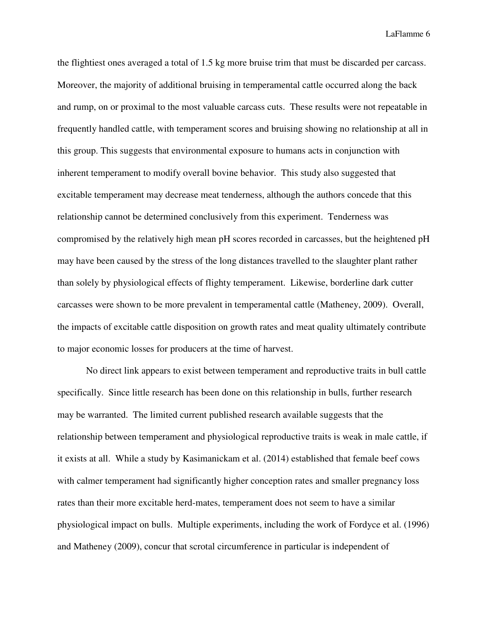the flightiest ones averaged a total of 1.5 kg more bruise trim that must be discarded per carcass. Moreover, the majority of additional bruising in temperamental cattle occurred along the back and rump, on or proximal to the most valuable carcass cuts. These results were not repeatable in frequently handled cattle, with temperament scores and bruising showing no relationship at all in this group. This suggests that environmental exposure to humans acts in conjunction with inherent temperament to modify overall bovine behavior. This study also suggested that excitable temperament may decrease meat tenderness, although the authors concede that this relationship cannot be determined conclusively from this experiment. Tenderness was compromised by the relatively high mean pH scores recorded in carcasses, but the heightened pH may have been caused by the stress of the long distances travelled to the slaughter plant rather than solely by physiological effects of flighty temperament. Likewise, borderline dark cutter carcasses were shown to be more prevalent in temperamental cattle (Matheney, 2009). Overall, the impacts of excitable cattle disposition on growth rates and meat quality ultimately contribute to major economic losses for producers at the time of harvest.

No direct link appears to exist between temperament and reproductive traits in bull cattle specifically. Since little research has been done on this relationship in bulls, further research may be warranted. The limited current published research available suggests that the relationship between temperament and physiological reproductive traits is weak in male cattle, if it exists at all. While a study by Kasimanickam et al. (2014) established that female beef cows with calmer temperament had significantly higher conception rates and smaller pregnancy loss rates than their more excitable herd-mates, temperament does not seem to have a similar physiological impact on bulls. Multiple experiments, including the work of Fordyce et al. (1996) and Matheney (2009), concur that scrotal circumference in particular is independent of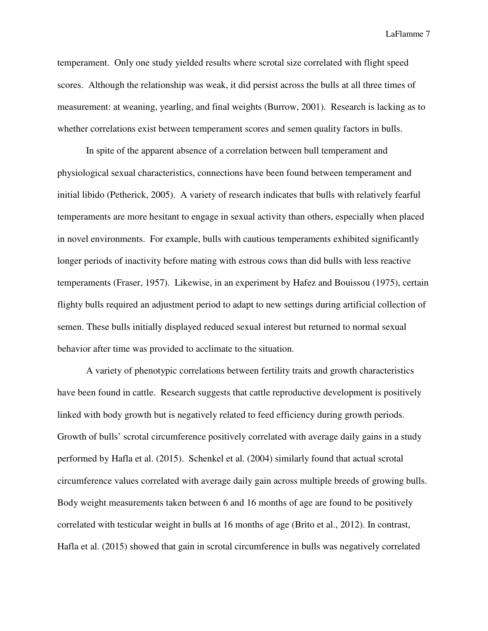temperament. Only one study yielded results where scrotal size correlated with flight speed scores. Although the relationship was weak, it did persist across the bulls at all three times of measurement: at weaning, yearling, and final weights (Burrow, 2001). Research is lacking as to whether correlations exist between temperament scores and semen quality factors in bulls.

In spite of the apparent absence of a correlation between bull temperament and physiological sexual characteristics, connections have been found between temperament and initial libido (Petherick, 2005). A variety of research indicates that bulls with relatively fearful temperaments are more hesitant to engage in sexual activity than others, especially when placed in novel environments. For example, bulls with cautious temperaments exhibited significantly longer periods of inactivity before mating with estrous cows than did bulls with less reactive temperaments (Fraser, 1957). Likewise, in an experiment by Hafez and Bouissou (1975), certain flighty bulls required an adjustment period to adapt to new settings during artificial collection of semen. These bulls initially displayed reduced sexual interest but returned to normal sexual behavior after time was provided to acclimate to the situation.

A variety of phenotypic correlations between fertility traits and growth characteristics have been found in cattle. Research suggests that cattle reproductive development is positively linked with body growth but is negatively related to feed efficiency during growth periods. Growth of bulls' scrotal circumference positively correlated with average daily gains in a study performed by Hafla et al. (2015). Schenkel et al. (2004) similarly found that actual scrotal circumference values correlated with average daily gain across multiple breeds of growing bulls. Body weight measurements taken between 6 and 16 months of age are found to be positively correlated with testicular weight in bulls at 16 months of age (Brito et al., 2012). In contrast, Hafla et al. (2015) showed that gain in scrotal circumference in bulls was negatively correlated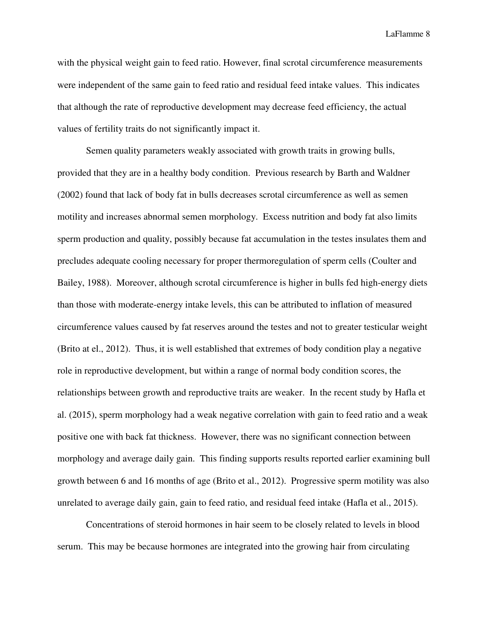with the physical weight gain to feed ratio. However, final scrotal circumference measurements were independent of the same gain to feed ratio and residual feed intake values. This indicates that although the rate of reproductive development may decrease feed efficiency, the actual values of fertility traits do not significantly impact it.

Semen quality parameters weakly associated with growth traits in growing bulls, provided that they are in a healthy body condition. Previous research by Barth and Waldner (2002) found that lack of body fat in bulls decreases scrotal circumference as well as semen motility and increases abnormal semen morphology. Excess nutrition and body fat also limits sperm production and quality, possibly because fat accumulation in the testes insulates them and precludes adequate cooling necessary for proper thermoregulation of sperm cells (Coulter and Bailey, 1988). Moreover, although scrotal circumference is higher in bulls fed high-energy diets than those with moderate-energy intake levels, this can be attributed to inflation of measured circumference values caused by fat reserves around the testes and not to greater testicular weight (Brito at el., 2012). Thus, it is well established that extremes of body condition play a negative role in reproductive development, but within a range of normal body condition scores, the relationships between growth and reproductive traits are weaker. In the recent study by Hafla et al. (2015), sperm morphology had a weak negative correlation with gain to feed ratio and a weak positive one with back fat thickness. However, there was no significant connection between morphology and average daily gain. This finding supports results reported earlier examining bull growth between 6 and 16 months of age (Brito et al., 2012). Progressive sperm motility was also unrelated to average daily gain, gain to feed ratio, and residual feed intake (Hafla et al., 2015).

Concentrations of steroid hormones in hair seem to be closely related to levels in blood serum. This may be because hormones are integrated into the growing hair from circulating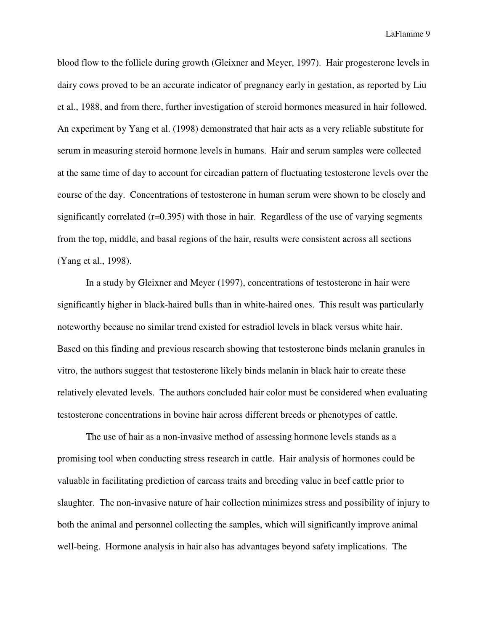blood flow to the follicle during growth (Gleixner and Meyer, 1997). Hair progesterone levels in dairy cows proved to be an accurate indicator of pregnancy early in gestation, as reported by Liu et al., 1988, and from there, further investigation of steroid hormones measured in hair followed. An experiment by Yang et al. (1998) demonstrated that hair acts as a very reliable substitute for serum in measuring steroid hormone levels in humans. Hair and serum samples were collected at the same time of day to account for circadian pattern of fluctuating testosterone levels over the course of the day. Concentrations of testosterone in human serum were shown to be closely and significantly correlated (r=0.395) with those in hair. Regardless of the use of varying segments from the top, middle, and basal regions of the hair, results were consistent across all sections (Yang et al., 1998).

In a study by Gleixner and Meyer (1997), concentrations of testosterone in hair were significantly higher in black-haired bulls than in white-haired ones. This result was particularly noteworthy because no similar trend existed for estradiol levels in black versus white hair. Based on this finding and previous research showing that testosterone binds melanin granules in vitro, the authors suggest that testosterone likely binds melanin in black hair to create these relatively elevated levels. The authors concluded hair color must be considered when evaluating testosterone concentrations in bovine hair across different breeds or phenotypes of cattle.

The use of hair as a non-invasive method of assessing hormone levels stands as a promising tool when conducting stress research in cattle. Hair analysis of hormones could be valuable in facilitating prediction of carcass traits and breeding value in beef cattle prior to slaughter. The non-invasive nature of hair collection minimizes stress and possibility of injury to both the animal and personnel collecting the samples, which will significantly improve animal well-being. Hormone analysis in hair also has advantages beyond safety implications. The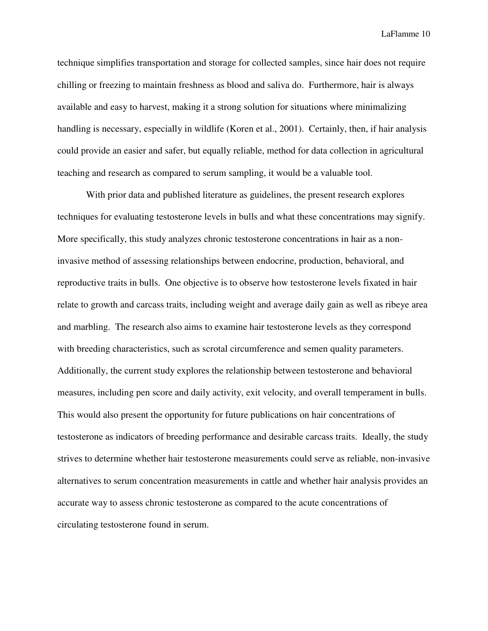technique simplifies transportation and storage for collected samples, since hair does not require chilling or freezing to maintain freshness as blood and saliva do. Furthermore, hair is always available and easy to harvest, making it a strong solution for situations where minimalizing handling is necessary, especially in wildlife (Koren et al., 2001). Certainly, then, if hair analysis could provide an easier and safer, but equally reliable, method for data collection in agricultural teaching and research as compared to serum sampling, it would be a valuable tool.

With prior data and published literature as guidelines, the present research explores techniques for evaluating testosterone levels in bulls and what these concentrations may signify. More specifically, this study analyzes chronic testosterone concentrations in hair as a noninvasive method of assessing relationships between endocrine, production, behavioral, and reproductive traits in bulls. One objective is to observe how testosterone levels fixated in hair relate to growth and carcass traits, including weight and average daily gain as well as ribeye area and marbling. The research also aims to examine hair testosterone levels as they correspond with breeding characteristics, such as scrotal circumference and semen quality parameters. Additionally, the current study explores the relationship between testosterone and behavioral measures, including pen score and daily activity, exit velocity, and overall temperament in bulls. This would also present the opportunity for future publications on hair concentrations of testosterone as indicators of breeding performance and desirable carcass traits. Ideally, the study strives to determine whether hair testosterone measurements could serve as reliable, non-invasive alternatives to serum concentration measurements in cattle and whether hair analysis provides an accurate way to assess chronic testosterone as compared to the acute concentrations of circulating testosterone found in serum.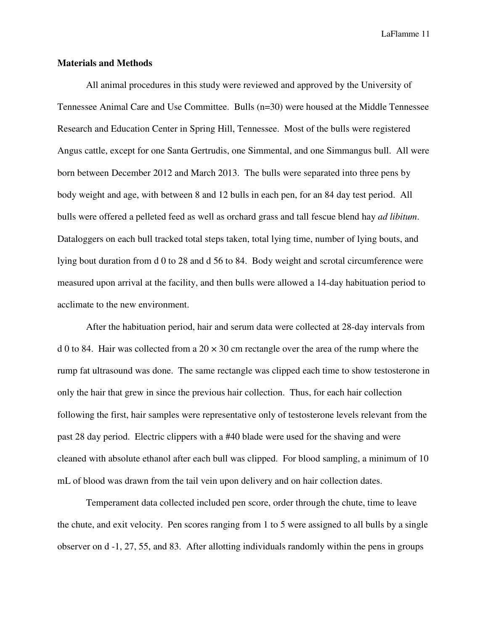#### **Materials and Methods**

All animal procedures in this study were reviewed and approved by the University of Tennessee Animal Care and Use Committee. Bulls (n=30) were housed at the Middle Tennessee Research and Education Center in Spring Hill, Tennessee. Most of the bulls were registered Angus cattle, except for one Santa Gertrudis, one Simmental, and one Simmangus bull. All were born between December 2012 and March 2013. The bulls were separated into three pens by body weight and age, with between 8 and 12 bulls in each pen, for an 84 day test period. All bulls were offered a pelleted feed as well as orchard grass and tall fescue blend hay *ad libitum*. Dataloggers on each bull tracked total steps taken, total lying time, number of lying bouts, and lying bout duration from d 0 to 28 and d 56 to 84. Body weight and scrotal circumference were measured upon arrival at the facility, and then bulls were allowed a 14-day habituation period to acclimate to the new environment.

After the habituation period, hair and serum data were collected at 28-day intervals from d 0 to 84. Hair was collected from a  $20 \times 30$  cm rectangle over the area of the rump where the rump fat ultrasound was done. The same rectangle was clipped each time to show testosterone in only the hair that grew in since the previous hair collection. Thus, for each hair collection following the first, hair samples were representative only of testosterone levels relevant from the past 28 day period. Electric clippers with a #40 blade were used for the shaving and were cleaned with absolute ethanol after each bull was clipped. For blood sampling, a minimum of 10 mL of blood was drawn from the tail vein upon delivery and on hair collection dates.

Temperament data collected included pen score, order through the chute, time to leave the chute, and exit velocity. Pen scores ranging from 1 to 5 were assigned to all bulls by a single observer on d -1, 27, 55, and 83. After allotting individuals randomly within the pens in groups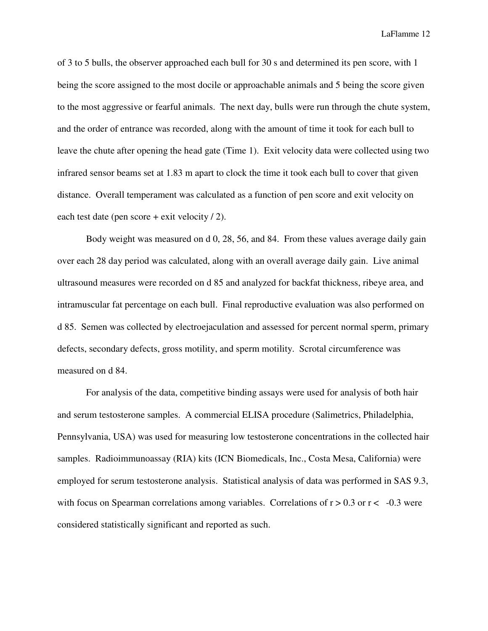of 3 to 5 bulls, the observer approached each bull for 30 s and determined its pen score, with 1 being the score assigned to the most docile or approachable animals and 5 being the score given to the most aggressive or fearful animals. The next day, bulls were run through the chute system, and the order of entrance was recorded, along with the amount of time it took for each bull to leave the chute after opening the head gate (Time 1). Exit velocity data were collected using two infrared sensor beams set at 1.83 m apart to clock the time it took each bull to cover that given distance. Overall temperament was calculated as a function of pen score and exit velocity on each test date (pen score + exit velocity / 2).

Body weight was measured on d 0, 28, 56, and 84. From these values average daily gain over each 28 day period was calculated, along with an overall average daily gain. Live animal ultrasound measures were recorded on d 85 and analyzed for backfat thickness, ribeye area, and intramuscular fat percentage on each bull. Final reproductive evaluation was also performed on d 85. Semen was collected by electroejaculation and assessed for percent normal sperm, primary defects, secondary defects, gross motility, and sperm motility. Scrotal circumference was measured on d 84.

For analysis of the data, competitive binding assays were used for analysis of both hair and serum testosterone samples. A commercial ELISA procedure (Salimetrics, Philadelphia, Pennsylvania, USA) was used for measuring low testosterone concentrations in the collected hair samples. Radioimmunoassay (RIA) kits (ICN Biomedicals, Inc., Costa Mesa, California) were employed for serum testosterone analysis. Statistical analysis of data was performed in SAS 9.3, with focus on Spearman correlations among variables. Correlations of  $r > 0.3$  or  $r < -0.3$  were considered statistically significant and reported as such.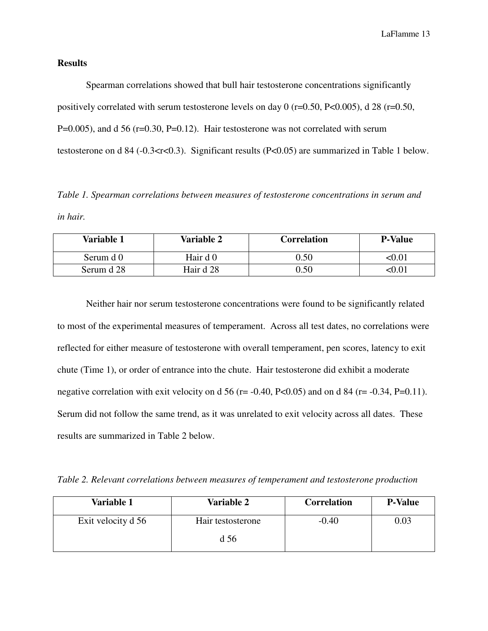## **Results**

 Spearman correlations showed that bull hair testosterone concentrations significantly positively correlated with serum testosterone levels on day 0 (r=0.50, P<0.005), d 28 (r=0.50,  $P=0.005$ ), and d 56 (r=0.30, P=0.12). Hair testosterone was not correlated with serum testosterone on d 84 (-0.3<rs>st<0.3). Significant results (P<0.05) are summarized in Table 1 below.

*Table 1. Spearman correlations between measures of testosterone concentrations in serum and in hair.* 

| Variable 1 | Variable 2 | <b>Correlation</b> | <b>P-Value</b> |
|------------|------------|--------------------|----------------|
| Serum d 0  | Hair d 0   | 0.50               | <0.01          |
| Serum d 28 | Hair d 28  | 0.50               | <0.01          |

 Neither hair nor serum testosterone concentrations were found to be significantly related to most of the experimental measures of temperament. Across all test dates, no correlations were reflected for either measure of testosterone with overall temperament, pen scores, latency to exit chute (Time 1), or order of entrance into the chute. Hair testosterone did exhibit a moderate negative correlation with exit velocity on d 56 ( $r = -0.40$ ,  $P < 0.05$ ) and on d 84 ( $r = -0.34$ ,  $P = 0.11$ ). Serum did not follow the same trend, as it was unrelated to exit velocity across all dates. These results are summarized in Table 2 below.

*Table 2. Relevant correlations between measures of temperament and testosterone production* 

| Variable 1         | <b>Variable 2</b> | <b>Correlation</b> | <b>P-Value</b> |
|--------------------|-------------------|--------------------|----------------|
| Exit velocity d 56 | Hair testosterone | $-0.40$            | 0.03           |
|                    | d 56              |                    |                |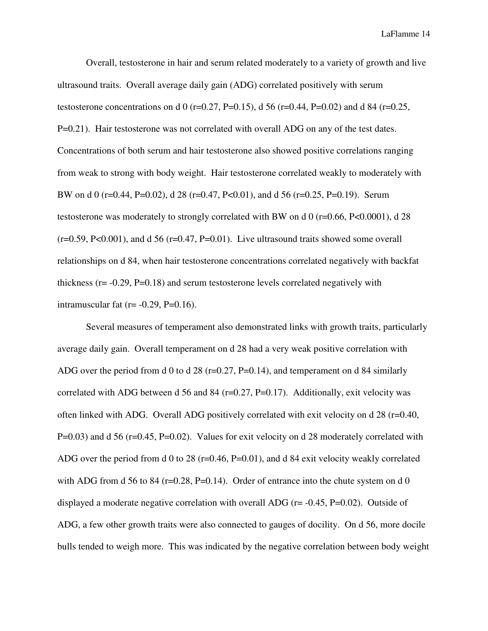Overall, testosterone in hair and serum related moderately to a variety of growth and live ultrasound traits. Overall average daily gain (ADG) correlated positively with serum testosterone concentrations on d 0 (r=0.27, P=0.15), d 56 (r=0.44, P=0.02) and d 84 (r=0.25, P=0.21). Hair testosterone was not correlated with overall ADG on any of the test dates. Concentrations of both serum and hair testosterone also showed positive correlations ranging from weak to strong with body weight. Hair testosterone correlated weakly to moderately with BW on d 0 (r=0.44, P=0.02), d 28 (r=0.47, P<0.01), and d 56 (r=0.25, P=0.19). Serum testosterone was moderately to strongly correlated with BW on d 0 (r=0.66, P<0.0001), d 28  $(r=0.59, P<0.001)$ , and d 56  $(r=0.47, P=0.01)$ . Live ultrasound traits showed some overall relationships on d 84, when hair testosterone concentrations correlated negatively with backfat thickness  $(r = -0.29, P = 0.18)$  and serum testosterone levels correlated negatively with intramuscular fat  $(r = -0.29, P = 0.16)$ .

 Several measures of temperament also demonstrated links with growth traits, particularly average daily gain. Overall temperament on d 28 had a very weak positive correlation with ADG over the period from d 0 to d 28 (r=0.27, P=0.14), and temperament on d 84 similarly correlated with ADG between d 56 and 84 (r=0.27, P=0.17). Additionally, exit velocity was often linked with ADG. Overall ADG positively correlated with exit velocity on d 28 (r=0.40, P=0.03) and d 56 (r=0.45, P=0.02). Values for exit velocity on d 28 moderately correlated with ADG over the period from d 0 to 28 (r=0.46, P=0.01), and d 84 exit velocity weakly correlated with ADG from d 56 to 84 ( $r=0.28$ , P $=0.14$ ). Order of entrance into the chute system on d 0 displayed a moderate negative correlation with overall ADG ( $r = -0.45$ ,  $P = 0.02$ ). Outside of ADG, a few other growth traits were also connected to gauges of docility. On d 56, more docile bulls tended to weigh more. This was indicated by the negative correlation between body weight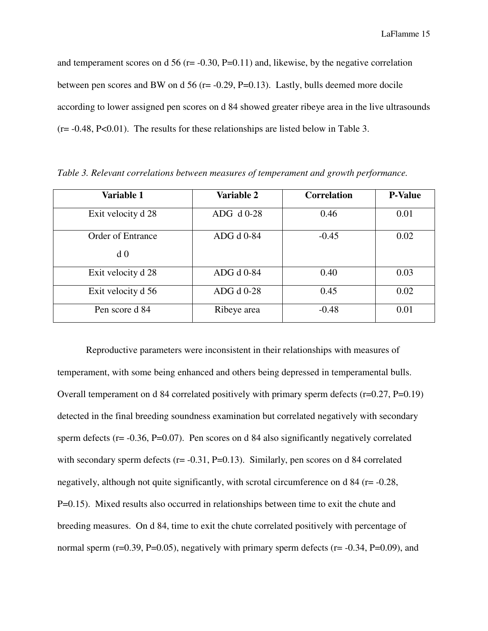and temperament scores on d 56 ( $r = -0.30$ , P=0.11) and, likewise, by the negative correlation between pen scores and BW on d 56 ( $r = -0.29$ ,  $P = 0.13$ ). Lastly, bulls deemed more docile according to lower assigned pen scores on d 84 showed greater ribeye area in the live ultrasounds  $(r = -0.48, P < 0.01)$ . The results for these relationships are listed below in Table 3.

| Variable 1                          | Variable 2  | <b>Correlation</b> | <b>P-Value</b> |
|-------------------------------------|-------------|--------------------|----------------|
| Exit velocity d 28                  | ADG d 0-28  | 0.46               | 0.01           |
| Order of Entrance<br>d <sub>0</sub> | ADG d 0-84  | $-0.45$            | 0.02           |
| Exit velocity d 28                  | ADG d 0-84  | 0.40               | 0.03           |
| Exit velocity d 56                  | ADG d 0-28  | 0.45               | 0.02           |
| Pen score d 84                      | Ribeye area | $-0.48$            | 0.01           |

*Table 3. Relevant correlations between measures of temperament and growth performance.* 

 Reproductive parameters were inconsistent in their relationships with measures of temperament, with some being enhanced and others being depressed in temperamental bulls. Overall temperament on d 84 correlated positively with primary sperm defects (r=0.27, P=0.19) detected in the final breeding soundness examination but correlated negatively with secondary sperm defects (r= -0.36, P=0.07). Pen scores on d 84 also significantly negatively correlated with secondary sperm defects ( $r = -0.31$ ,  $P = 0.13$ ). Similarly, pen scores on d 84 correlated negatively, although not quite significantly, with scrotal circumference on d 84 (r= -0.28, P=0.15). Mixed results also occurred in relationships between time to exit the chute and breeding measures. On d 84, time to exit the chute correlated positively with percentage of normal sperm ( $r=0.39$ ,  $P=0.05$ ), negatively with primary sperm defects ( $r=-0.34$ ,  $P=0.09$ ), and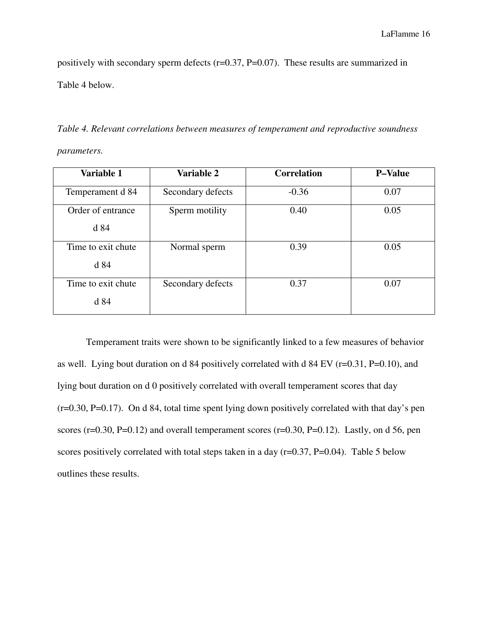positively with secondary sperm defects (r=0.37, P=0.07). These results are summarized in Table 4 below.

*Table 4. Relevant correlations between measures of temperament and reproductive soundness parameters.* 

| Variable 1                 | Variable 2        | <b>Correlation</b> | <b>P-Value</b> |
|----------------------------|-------------------|--------------------|----------------|
| Temperament d 84           | Secondary defects | $-0.36$            | 0.07           |
| Order of entrance<br>d 84  | Sperm motility    | 0.40               | 0.05           |
| Time to exit chute<br>d 84 | Normal sperm      | 0.39               | 0.05           |
| Time to exit chute<br>d 84 | Secondary defects | 0.37               | 0.07           |

 Temperament traits were shown to be significantly linked to a few measures of behavior as well. Lying bout duration on d 84 positively correlated with d 84 EV ( $r=0.31$ ,  $P=0.10$ ), and lying bout duration on d 0 positively correlated with overall temperament scores that day (r=0.30, P=0.17). On d 84, total time spent lying down positively correlated with that day's pen scores ( $r=0.30$ ,  $P=0.12$ ) and overall temperament scores ( $r=0.30$ ,  $P=0.12$ ). Lastly, on d 56, pen scores positively correlated with total steps taken in a day  $(r=0.37, P=0.04)$ . Table 5 below outlines these results.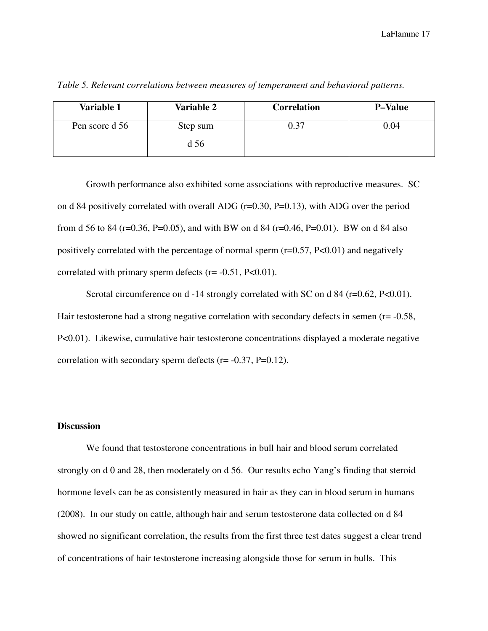| Variable 1     | <b>Variable 2</b> | <b>Correlation</b> | <b>P-Value</b> |
|----------------|-------------------|--------------------|----------------|
| Pen score d 56 | Step sum          | 0.37               | 0.04           |
|                | d 56              |                    |                |

*Table 5. Relevant correlations between measures of temperament and behavioral patterns.*

 Growth performance also exhibited some associations with reproductive measures. SC on d 84 positively correlated with overall ADG (r=0.30, P=0.13), with ADG over the period from d 56 to 84 (r=0.36, P=0.05), and with BW on d 84 (r=0.46, P=0.01). BW on d 84 also positively correlated with the percentage of normal sperm  $(r=0.57, P<0.01)$  and negatively correlated with primary sperm defects  $(r = -0.51, P < 0.01)$ .

Scrotal circumference on d -14 strongly correlated with SC on d 84 (r=0.62, P<0.01). Hair testosterone had a strong negative correlation with secondary defects in semen  $(r= -0.58,$ P<0.01). Likewise, cumulative hair testosterone concentrations displayed a moderate negative correlation with secondary sperm defects  $(r = -0.37, P=0.12)$ .

# **Discussion**

 We found that testosterone concentrations in bull hair and blood serum correlated strongly on d 0 and 28, then moderately on d 56. Our results echo Yang's finding that steroid hormone levels can be as consistently measured in hair as they can in blood serum in humans (2008). In our study on cattle, although hair and serum testosterone data collected on d 84 showed no significant correlation, the results from the first three test dates suggest a clear trend of concentrations of hair testosterone increasing alongside those for serum in bulls. This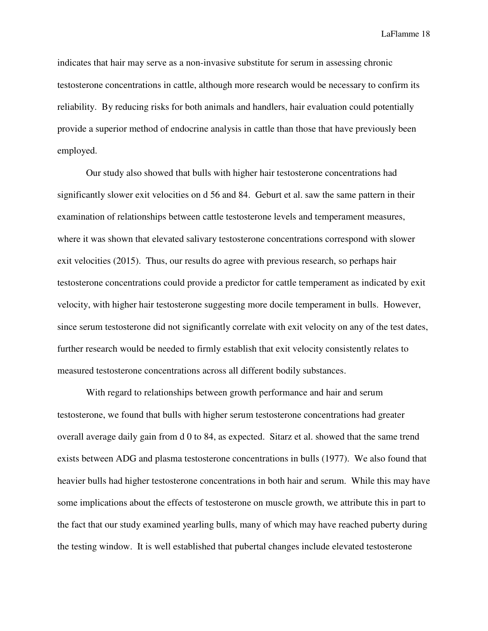indicates that hair may serve as a non-invasive substitute for serum in assessing chronic testosterone concentrations in cattle, although more research would be necessary to confirm its reliability. By reducing risks for both animals and handlers, hair evaluation could potentially provide a superior method of endocrine analysis in cattle than those that have previously been employed.

 Our study also showed that bulls with higher hair testosterone concentrations had significantly slower exit velocities on d 56 and 84. Geburt et al. saw the same pattern in their examination of relationships between cattle testosterone levels and temperament measures, where it was shown that elevated salivary testosterone concentrations correspond with slower exit velocities (2015). Thus, our results do agree with previous research, so perhaps hair testosterone concentrations could provide a predictor for cattle temperament as indicated by exit velocity, with higher hair testosterone suggesting more docile temperament in bulls. However, since serum testosterone did not significantly correlate with exit velocity on any of the test dates, further research would be needed to firmly establish that exit velocity consistently relates to measured testosterone concentrations across all different bodily substances.

 With regard to relationships between growth performance and hair and serum testosterone, we found that bulls with higher serum testosterone concentrations had greater overall average daily gain from d 0 to 84, as expected. Sitarz et al. showed that the same trend exists between ADG and plasma testosterone concentrations in bulls (1977). We also found that heavier bulls had higher testosterone concentrations in both hair and serum. While this may have some implications about the effects of testosterone on muscle growth, we attribute this in part to the fact that our study examined yearling bulls, many of which may have reached puberty during the testing window. It is well established that pubertal changes include elevated testosterone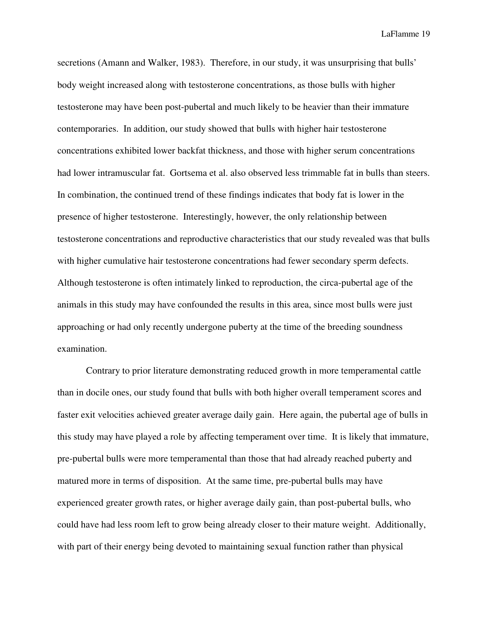secretions (Amann and Walker, 1983). Therefore, in our study, it was unsurprising that bulls' body weight increased along with testosterone concentrations, as those bulls with higher testosterone may have been post-pubertal and much likely to be heavier than their immature contemporaries. In addition, our study showed that bulls with higher hair testosterone concentrations exhibited lower backfat thickness, and those with higher serum concentrations had lower intramuscular fat. Gortsema et al. also observed less trimmable fat in bulls than steers. In combination, the continued trend of these findings indicates that body fat is lower in the presence of higher testosterone. Interestingly, however, the only relationship between testosterone concentrations and reproductive characteristics that our study revealed was that bulls with higher cumulative hair testosterone concentrations had fewer secondary sperm defects. Although testosterone is often intimately linked to reproduction, the circa-pubertal age of the animals in this study may have confounded the results in this area, since most bulls were just approaching or had only recently undergone puberty at the time of the breeding soundness examination.

 Contrary to prior literature demonstrating reduced growth in more temperamental cattle than in docile ones, our study found that bulls with both higher overall temperament scores and faster exit velocities achieved greater average daily gain. Here again, the pubertal age of bulls in this study may have played a role by affecting temperament over time. It is likely that immature, pre-pubertal bulls were more temperamental than those that had already reached puberty and matured more in terms of disposition. At the same time, pre-pubertal bulls may have experienced greater growth rates, or higher average daily gain, than post-pubertal bulls, who could have had less room left to grow being already closer to their mature weight. Additionally, with part of their energy being devoted to maintaining sexual function rather than physical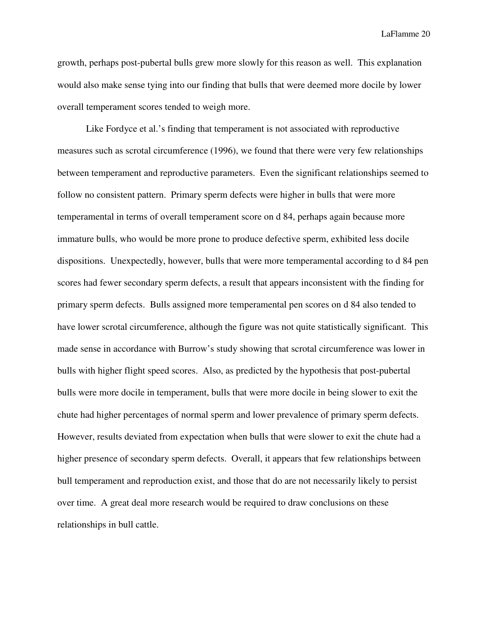growth, perhaps post-pubertal bulls grew more slowly for this reason as well. This explanation would also make sense tying into our finding that bulls that were deemed more docile by lower overall temperament scores tended to weigh more.

 Like Fordyce et al.'s finding that temperament is not associated with reproductive measures such as scrotal circumference (1996), we found that there were very few relationships between temperament and reproductive parameters. Even the significant relationships seemed to follow no consistent pattern. Primary sperm defects were higher in bulls that were more temperamental in terms of overall temperament score on d 84, perhaps again because more immature bulls, who would be more prone to produce defective sperm, exhibited less docile dispositions. Unexpectedly, however, bulls that were more temperamental according to d 84 pen scores had fewer secondary sperm defects, a result that appears inconsistent with the finding for primary sperm defects. Bulls assigned more temperamental pen scores on d 84 also tended to have lower scrotal circumference, although the figure was not quite statistically significant. This made sense in accordance with Burrow's study showing that scrotal circumference was lower in bulls with higher flight speed scores. Also, as predicted by the hypothesis that post-pubertal bulls were more docile in temperament, bulls that were more docile in being slower to exit the chute had higher percentages of normal sperm and lower prevalence of primary sperm defects. However, results deviated from expectation when bulls that were slower to exit the chute had a higher presence of secondary sperm defects. Overall, it appears that few relationships between bull temperament and reproduction exist, and those that do are not necessarily likely to persist over time. A great deal more research would be required to draw conclusions on these relationships in bull cattle.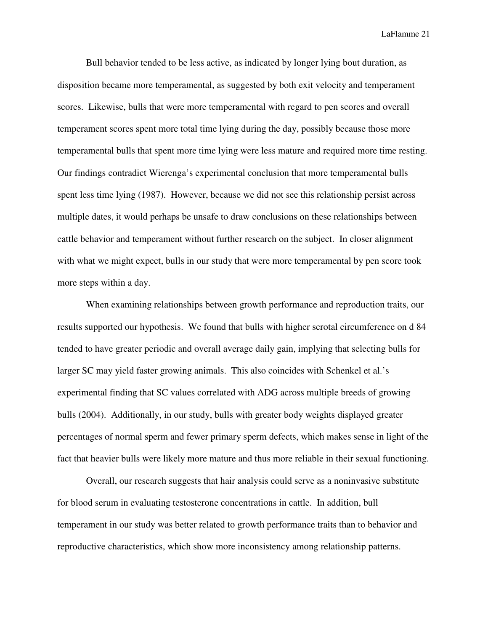Bull behavior tended to be less active, as indicated by longer lying bout duration, as disposition became more temperamental, as suggested by both exit velocity and temperament scores. Likewise, bulls that were more temperamental with regard to pen scores and overall temperament scores spent more total time lying during the day, possibly because those more temperamental bulls that spent more time lying were less mature and required more time resting. Our findings contradict Wierenga's experimental conclusion that more temperamental bulls spent less time lying (1987). However, because we did not see this relationship persist across multiple dates, it would perhaps be unsafe to draw conclusions on these relationships between cattle behavior and temperament without further research on the subject. In closer alignment with what we might expect, bulls in our study that were more temperamental by pen score took more steps within a day.

 When examining relationships between growth performance and reproduction traits, our results supported our hypothesis. We found that bulls with higher scrotal circumference on d 84 tended to have greater periodic and overall average daily gain, implying that selecting bulls for larger SC may yield faster growing animals. This also coincides with Schenkel et al.'s experimental finding that SC values correlated with ADG across multiple breeds of growing bulls (2004). Additionally, in our study, bulls with greater body weights displayed greater percentages of normal sperm and fewer primary sperm defects, which makes sense in light of the fact that heavier bulls were likely more mature and thus more reliable in their sexual functioning.

 Overall, our research suggests that hair analysis could serve as a noninvasive substitute for blood serum in evaluating testosterone concentrations in cattle. In addition, bull temperament in our study was better related to growth performance traits than to behavior and reproductive characteristics, which show more inconsistency among relationship patterns.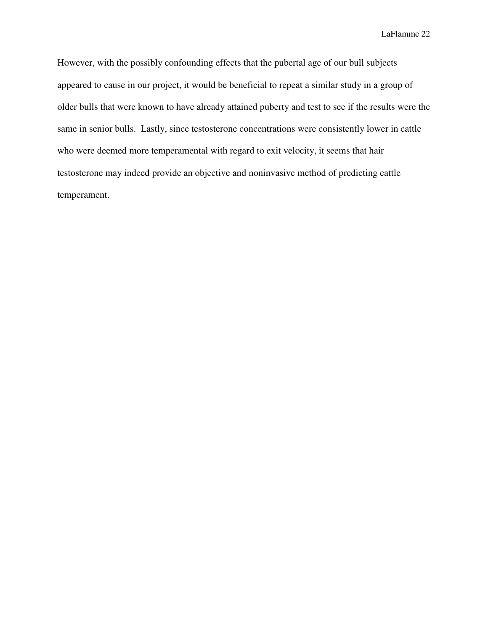However, with the possibly confounding effects that the pubertal age of our bull subjects appeared to cause in our project, it would be beneficial to repeat a similar study in a group of older bulls that were known to have already attained puberty and test to see if the results were the same in senior bulls. Lastly, since testosterone concentrations were consistently lower in cattle who were deemed more temperamental with regard to exit velocity, it seems that hair testosterone may indeed provide an objective and noninvasive method of predicting cattle temperament.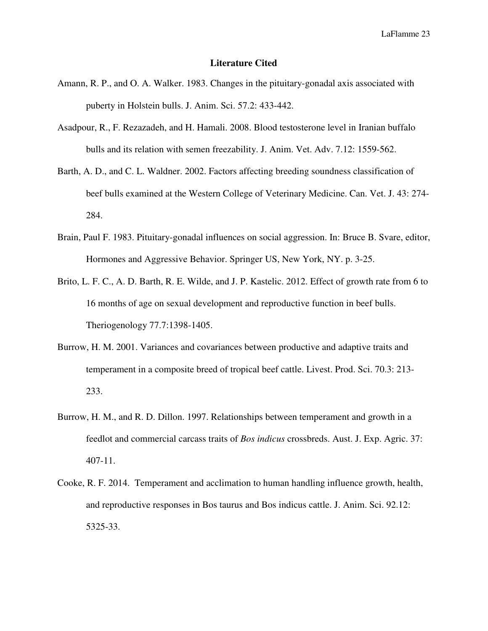## **Literature Cited**

- Amann, R. P., and O. A. Walker. 1983. Changes in the pituitary-gonadal axis associated with puberty in Holstein bulls. J. Anim. Sci. 57.2: 433-442.
- Asadpour, R., F. Rezazadeh, and H. Hamali. 2008. Blood testosterone level in Iranian buffalo bulls and its relation with semen freezability. J. Anim. Vet. Adv. 7.12: 1559-562.
- Barth, A. D., and C. L. Waldner. 2002. Factors affecting breeding soundness classification of beef bulls examined at the Western College of Veterinary Medicine. Can. Vet. J. 43: 274- 284.
- Brain, Paul F. 1983. Pituitary-gonadal influences on social aggression. In: Bruce B. Svare, editor, Hormones and Aggressive Behavior. Springer US, New York, NY. p. 3-25.
- Brito, L. F. C., A. D. Barth, R. E. Wilde, and J. P. Kastelic. 2012. Effect of growth rate from 6 to 16 months of age on sexual development and reproductive function in beef bulls. Theriogenology 77.7:1398-1405.
- Burrow, H. M. 2001. Variances and covariances between productive and adaptive traits and temperament in a composite breed of tropical beef cattle. Livest. Prod. Sci. 70.3: 213- 233.
- Burrow, H. M., and R. D. Dillon. 1997. Relationships between temperament and growth in a feedlot and commercial carcass traits of *Bos indicus* crossbreds. Aust. J. Exp. Agric. 37: 407-11.
- Cooke, R. F. 2014. Temperament and acclimation to human handling influence growth, health, and reproductive responses in Bos taurus and Bos indicus cattle. J. Anim. Sci. 92.12: 5325-33.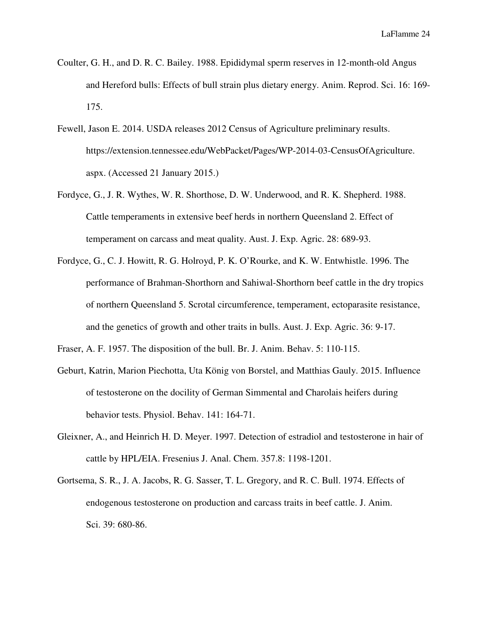- Coulter, G. H., and D. R. C. Bailey. 1988. Epididymal sperm reserves in 12-month-old Angus and Hereford bulls: Effects of bull strain plus dietary energy. Anim. Reprod. Sci. 16: 169- 175.
- Fewell, Jason E. 2014. USDA releases 2012 Census of Agriculture preliminary results. https://extension.tennessee.edu/WebPacket/Pages/WP-2014-03-CensusOfAgriculture. aspx. (Accessed 21 January 2015.)
- Fordyce, G., J. R. Wythes, W. R. Shorthose, D. W. Underwood, and R. K. Shepherd. 1988. Cattle temperaments in extensive beef herds in northern Queensland 2. Effect of temperament on carcass and meat quality. Aust. J. Exp. Agric. 28: 689-93.
- Fordyce, G., C. J. Howitt, R. G. Holroyd, P. K. O'Rourke, and K. W. Entwhistle. 1996. The performance of Brahman-Shorthorn and Sahiwal-Shorthorn beef cattle in the dry tropics of northern Queensland 5. Scrotal circumference, temperament, ectoparasite resistance, and the genetics of growth and other traits in bulls. Aust. J. Exp. Agric. 36: 9-17.
- Fraser, A. F. 1957. The disposition of the bull. Br. J. Anim. Behav. 5: 110-115.
- Geburt, Katrin, Marion Piechotta, Uta König von Borstel, and Matthias Gauly. 2015. Influence of testosterone on the docility of German Simmental and Charolais heifers during behavior tests. Physiol. Behav. 141: 164-71.
- Gleixner, A., and Heinrich H. D. Meyer. 1997. Detection of estradiol and testosterone in hair of cattle by HPL/EIA. Fresenius J. Anal. Chem. 357.8: 1198-1201.
- Gortsema, S. R., J. A. Jacobs, R. G. Sasser, T. L. Gregory, and R. C. Bull. 1974. Effects of endogenous testosterone on production and carcass traits in beef cattle. J. Anim. Sci. 39: 680-86.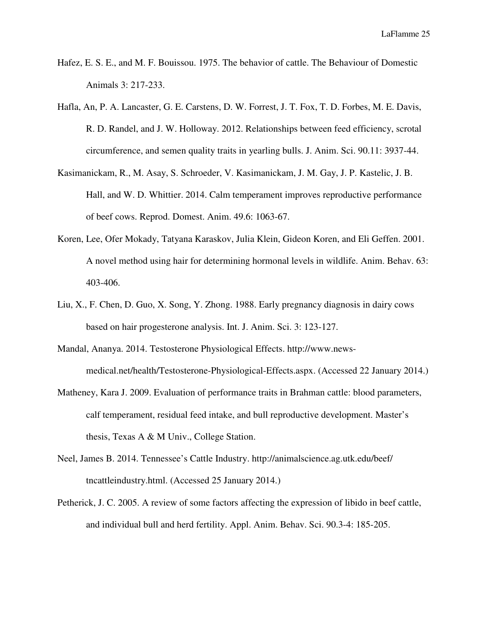- Hafez, E. S. E., and M. F. Bouissou. 1975. The behavior of cattle. The Behaviour of Domestic Animals 3: 217-233.
- Hafla, An, P. A. Lancaster, G. E. Carstens, D. W. Forrest, J. T. Fox, T. D. Forbes, M. E. Davis, R. D. Randel, and J. W. Holloway. 2012. Relationships between feed efficiency, scrotal circumference, and semen quality traits in yearling bulls. J. Anim. Sci. 90.11: 3937-44.
- Kasimanickam, R., M. Asay, S. Schroeder, V. Kasimanickam, J. M. Gay, J. P. Kastelic, J. B. Hall, and W. D. Whittier. 2014. Calm temperament improves reproductive performance of beef cows. Reprod. Domest. Anim. 49.6: 1063-67.
- Koren, Lee, Ofer Mokady, Tatyana Karaskov, Julia Klein, Gideon Koren, and Eli Geffen. 2001. A novel method using hair for determining hormonal levels in wildlife. Anim. Behav. 63: 403-406.
- Liu, X., F. Chen, D. Guo, X. Song, Y. Zhong. 1988. Early pregnancy diagnosis in dairy cows based on hair progesterone analysis. Int. J. Anim. Sci. 3: 123-127.
- Mandal, Ananya. 2014. Testosterone Physiological Effects. http://www.news medical.net/health/Testosterone-Physiological-Effects.aspx. (Accessed 22 January 2014.)
- Matheney, Kara J. 2009. Evaluation of performance traits in Brahman cattle: blood parameters, calf temperament, residual feed intake, and bull reproductive development. Master's thesis, Texas A & M Univ., College Station.
- Neel, James B. 2014. Tennessee's Cattle Industry. http://animalscience.ag.utk.edu/beef/ tncattleindustry.html. (Accessed 25 January 2014.)
- Petherick, J. C. 2005. A review of some factors affecting the expression of libido in beef cattle, and individual bull and herd fertility. Appl. Anim. Behav. Sci. 90.3-4: 185-205.